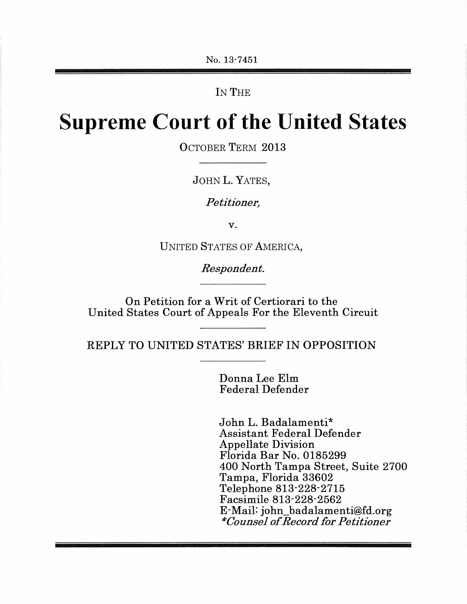No. 13-7451

IN THE

# Supreme Court of the United States

OCTOBER TERM 2013

JOHN L. YATES,

*Petitioner,* 

v.

UNITED STATES OF AMERICA,

*Respondent.* 

On Petition for a Writ of Certiorari to the United States Court of Appeals For the Eleventh Circuit

REPLY TO UNITED STATES' BRIEF IN OPPOSITION

Donna Lee Elm Federal Defender

John L. Badalamenti\* Assistant Federal Defender Appellate Division Florida Bar No. 0185299 400 North Tampa Street, Suite 2700 Tampa, Florida 33602 Telephone 813-228-2715 Facsimile 813-228-2562 E-Mail: john\_badalamenti@fd.org *\*Counsel of Record for Petitioner*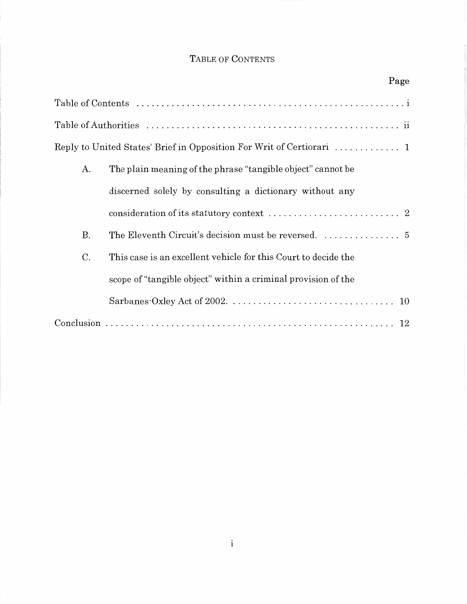# TABLE OF CONTENTS

|           | Page                                                           |
|-----------|----------------------------------------------------------------|
|           |                                                                |
|           |                                                                |
|           |                                                                |
| A.        | The plain meaning of the phrase "tangible object" cannot be    |
|           | discerned solely by consulting a dictionary without any        |
|           |                                                                |
| <b>B.</b> |                                                                |
| C.        | This case is an excellent vehicle for this Court to decide the |
|           | scope of "tangible object" within a criminal provision of the  |
|           |                                                                |
|           |                                                                |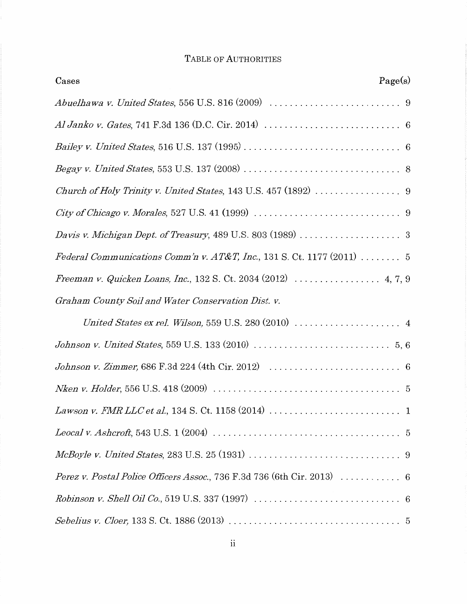## TABLE OF AUTHORITIES

| Page(s)<br>Cases                                                                                                                         |
|------------------------------------------------------------------------------------------------------------------------------------------|
|                                                                                                                                          |
|                                                                                                                                          |
|                                                                                                                                          |
|                                                                                                                                          |
| Church of Holy Trinity v. United States, 143 U.S. 457 (1892) $\ldots \ldots \ldots \ldots$                                               |
|                                                                                                                                          |
|                                                                                                                                          |
| Federal Communications Comm'n v. AT&T, Inc., 131 S. Ct. 1177 (2011)  5                                                                   |
|                                                                                                                                          |
| Graham County Soil and Water Conservation Dist. v.                                                                                       |
|                                                                                                                                          |
|                                                                                                                                          |
|                                                                                                                                          |
| <i>Nken v. Holder</i> , 556 U.S. 418 (2009) $\ldots \ldots \ldots \ldots \ldots \ldots \ldots \ldots \ldots \ldots \ldots \ldots \ldots$ |
|                                                                                                                                          |
|                                                                                                                                          |
|                                                                                                                                          |
| <i>Perez v. Postal Police Officers Assoc.</i> , 736 F.3d 736 (6th Cir. 2013) $\ldots \ldots \ldots$ 6                                    |
|                                                                                                                                          |
|                                                                                                                                          |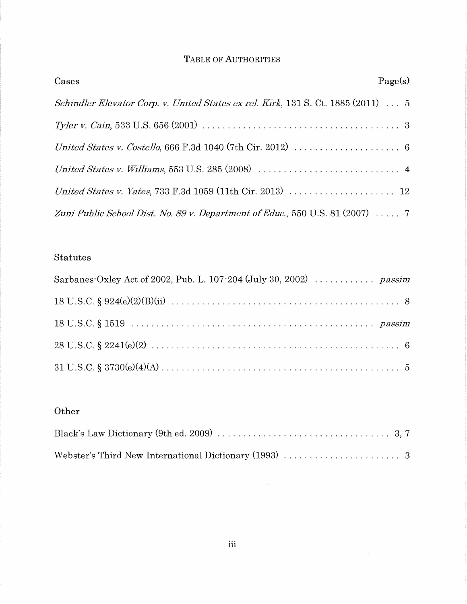### TABLE OF AUTHORITIES

| Cases                                                                                   | Page(s) |
|-----------------------------------------------------------------------------------------|---------|
| Schindler Elevator Corp. v. United States ex rel. Kirk, 131 S. Ct. 1885 $(2011)$ 5      |         |
|                                                                                         |         |
|                                                                                         |         |
|                                                                                         |         |
|                                                                                         |         |
| Zuni Public School Dist. No. 89 v. Department of Educ., 550 U.S. 81 (2007) $\ldots$ . 7 |         |

### Statutes

| Sarbanes Oxley Act of 2002, Pub. L. 107-204 (July 30, 2002)  passim |  |
|---------------------------------------------------------------------|--|
|                                                                     |  |
|                                                                     |  |
|                                                                     |  |
|                                                                     |  |

## Other

| Black's Law Dictionary (9th ed. 2009) $\ldots \ldots \ldots \ldots \ldots \ldots \ldots \ldots \ldots \ldots \ldots$ 3, 7 |  |
|---------------------------------------------------------------------------------------------------------------------------|--|
|                                                                                                                           |  |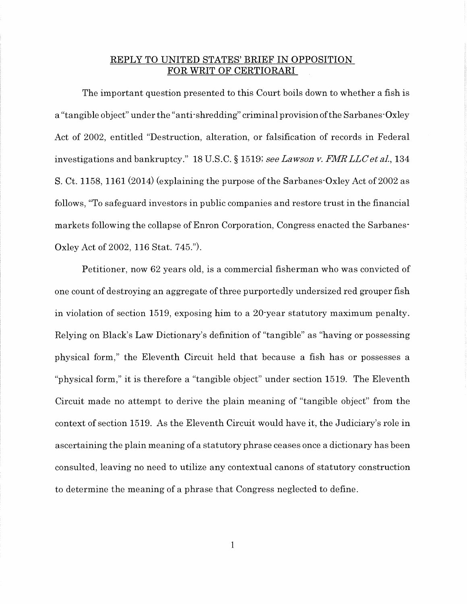#### REPLY TO UNITED STATES' BRIEF IN OPPOSITION FOR WRIT OF CERTIORARI

The important question presented to this Court boils down to whether a fish is a "tangible object" under the "anti-shredding" criminal provision of the Sarbanes-Oxley Act of 2002, entitled "Destruction, alteration, or falsification of records in Federal investigations and bankruptcy." 18 U.S.C. § 1519; *see Lawson v. FMR LLC et al.,* 134 S. Ct. 1158, 1161 (2014) (explaining the purpose of the Sarbanes-Oxley Act of 2002 as follows, "To safeguard investors in public companies and restore trust in the financial markets following the collapse of Enron Corporation, Congress enacted the Sarbanes-Oxley Act of 2002, 116 Stat. 745.").

Petitioner, now 62 years old, is a commercial fisherman who was convicted of one count of destroying an aggregate of three purportedly undersized red grouper fish in violation of section 1519, exposing him to a 20-year statutory maximum penalty. Relying on Black's Law Dictionary's definition of "tangible" as "having or possessing physical form," the Eleventh Circuit held that because a fish has or possesses a "physical form," it is therefore a "tangible object" under section 1519. The Eleventh Circuit made no attempt to derive the plain meaning of "tangible object" from the context of section 1519. As the Eleventh Circuit would have it, the Judiciary's role in ascertaining the plain meaning of a statutory phrase ceases once a dictionary has been consulted, leaving no need to utilize any contextual canons of statutory construction to determine the meaning of a phrase that Congress neglected to define.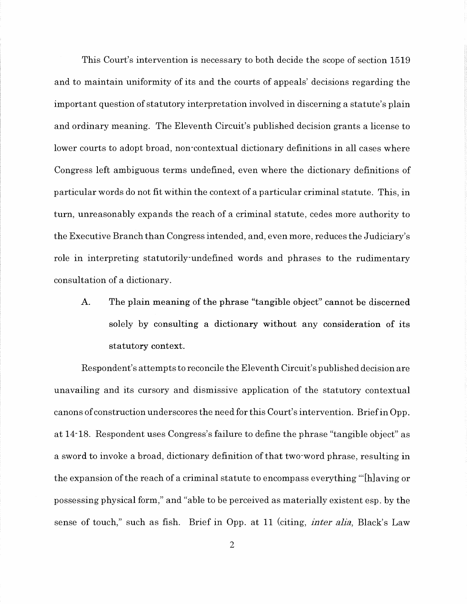This Court's intervention is necessary to both decide the scope of section 1519 and to maintain uniformity of its and the courts of appeals' decisions regarding the important question of statutory interpretation involved in discerning a statute's plain and ordinary meaning. The Eleventh Circuit's published decision grants a license to lower courts to adopt broad, non-contextual dictionary definitions in all cases where Congress left ambiguous terms undefined, even where the dictionary definitions of particular words do not fit within the context of a particular criminal statute. This, in turn, unreasonably expands the reach of a criminal statute, cedes more authority to the Executive Branch than Congress intended, and, even more, reduces the Judiciary's role in interpreting statutorily-undefined words and phrases to the rudimentary consultation of a dictionary.

A. The plain meaning of the phrase "tangible object" cannot be discerned solely by consulting a dictionary without any consideration of its statutory context.

Respondent's attempts to reconcile the Eleventh Circuit's published decision are unavailing and its cursory and dismissive application of the statutory contextual canons of construction underscores the need for this Court's intervention. Brief in Opp. at 14-18. Respondent uses Congress's failure to define the phrase "tangible object" as a sword to invoke a broad, dictionary definition of that two-word phrase, resulting in the expansion of the reach of a criminal statute to encompass everything "'[h]aving or possessing physical form," and "able to be perceived as materially existent esp. by the sense of touch," such as fish. Brief in Opp. at 11 (citing, *inter alia,* Black's Law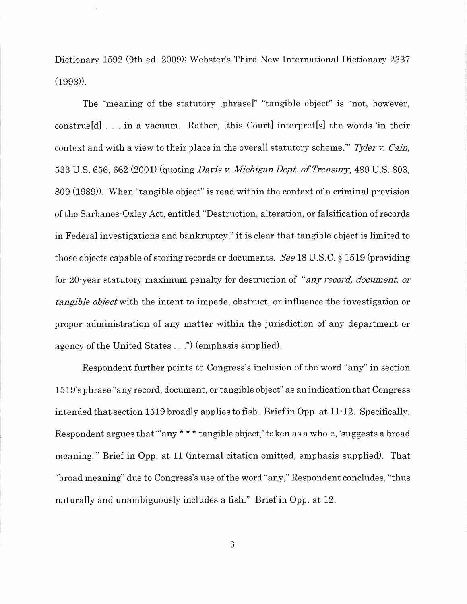Dictionary 1592 (9th ed. 2009); Webster's Third New International Dictionary 2337 (1993)).

The "meaning of the statutory [phrase]" "tangible object" is "not, however, construe[d] ... in a vacuum. Rather, [this Court] interpret[s] the words 'in their context and with a view to their place in the overall statutory scheme."' *Tyler v. Cain,*  533 U.S. 656, 662 (2001) (quoting *Davis v. Michigan Dept. ofTreasmy,* 489 U.S. 803, 809 (1989)). When "tangible object" is read within the context of a criminal provision of the Sarbanes-Oxley Act, entitled "Destruction, alteration, or falsification of records in Federal investigations and bankruptcy," it is clear that tangible object is limited to those objects capable of storing records or documents. *See* 18 U.S.C. § 1519 (providing for 20-year statutory maximum penalty for destruction of *"any recant document, or tangible object* with the intent to impede, obstruct, or influence the investigation or proper administration of any matter within the jurisdiction of any department or agency of the United States ... ") (emphasis supplied).

Respondent further points to Congress's inclusion of the word "any" in section 1519's phrase "any record, document, or tangible object" as an indication that Congress intended that section 1519 broadly applies to fish. Brief in Opp. at  $11-12$ . Specifically, Respondent argues that "any \* \* \* tangible object,' taken as a whole, 'suggests a broad meaning."' Brief in Opp. at 11 (internal citation omitted, emphasis supplied). That "broad meaning" due to Congress's use of the word "any," Respondent concludes, "thus naturally and unambiguously includes a fish." Brief in Opp. at 12.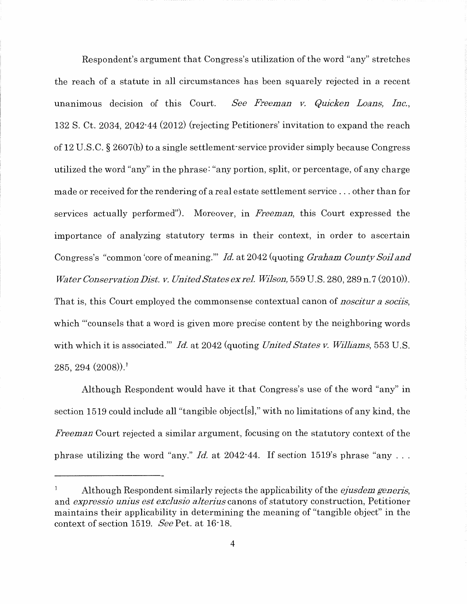Respondent's argument that Congress's utilization of the word "any" stretches the reach of a statute in all circumstances has been squarely rejected in a recent unanimous decision of this Court. *See Freeman v. Quicken Loans, Inc.*, 132 S. Ct. 2034, 2042-44 (2012) (rejecting Petitioners' invitation to expand the reach of 12 U.S.C. § 2607(b) to a single settlement-service provider simply because Congress utilized the word "any" in the phrase: "any portion, split, or percentage, of any charge made or received for the rendering of a real estate settlement service ... other than for services actually performed"). Moreover, in *Freeman,* this Court expressed the importance of analyzing statutory terms in their context, in order to ascertain Congress's "common 'core of meaning."' *Id.* at 2042 (quoting *Graham County Soil and Water Conservation Dist. v. United States ex rel. Wilson,* 559 U.S. 280, 289 n. 7 (2010)). That is, this Court employed the commonsense contextual canon of *noscitur a sociis,*  which "counsels that a word is given more precise content by the neighboring words with which it is associated.'" *Id.* at 2042 (quoting *United States v. Williams,* 553 U.S.  $285, 294$  (2008)).<sup>1</sup>

Although Respondent would have it that Congress's use of the word "any" in section 1519 could include all "tangible object[s]," with no limitations of any kind, the *Freeman* Court rejected a similar argument, focusing on the statutory context of the phrase utilizing the word "any." *Id.* at 2042-44. If section 1519's phrase "any ...

 $\mathbf{1}$ Although Respondent similarly rejects the applicability of the *ejusdem generis*, and *expressio unius est exclusio alterius* canons of statutory construction, Petitioner maintains their applicability in determining the meaning of "tangible object" in the context of section 1519. *See* Pet. at 16-18.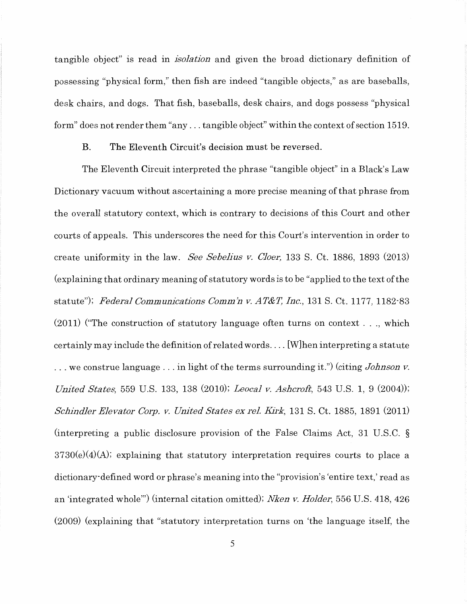tangible object" is read in *isolation* and given the broad dictionary definition of possessing "physical form," then fish are indeed "tangible objects," as are baseballs, desk chairs, and dogs. That fish, baseballs, desk chairs, and dogs possess "physical form" does not render them "any ... tangible object" within the context of section 1519.

#### B. The Eleventh Circuit's decision must be reversed.

The Eleventh Circuit interpreted the phrase "tangible object" in a Black's Law Dictionary vacuum without ascertaining a more precise meaning of that phrase from the overall statutory context, which is contrary to decisions of this Court and other courts of appeals. This underscores the need for this Court's intervention in order to create uniformity in the law. *See Sebelius v. Cloer,* 133 S. Ct. 1886, 1893 (2013) (explaining that ordinary meaning of statutory words is to be "applied to the text of the statute"); *Federal Communications Comm'n v. AT&T, Inc.,* 131 S. Ct. 1177, 1182-83 (2011) ("The construction of statutory language often turns on context ... , which certainly may include the definition of related words .... [W]hen interpreting a statute ... we construe language ... in light of the terms surrounding it.") (citing *Johnson v. United States,* 559 U.S. 133, 138 (2010); *Leocal v. Ashcroft,* 543 U.S. 1, 9 (2004)); *Schindler Elevator Corp. v. United States ex rel. Kfrk,* 131 S. Ct. 1885, 1891 (2011) (interpreting a public disclosure provision of the False Claims Act, 31 U.S.C. §  $3730(e)(4)(A);$  explaining that statutory interpretation requires courts to place a dictionary-defined word or phrase's meaning into the "provision's 'entire text,' read as an 'integrated whole"') (internal citation omitted); *Nken v. Holder,* 556 U.S. 418, 426 (2009) (explaining that "statutory interpretation turns on 'the language itself, the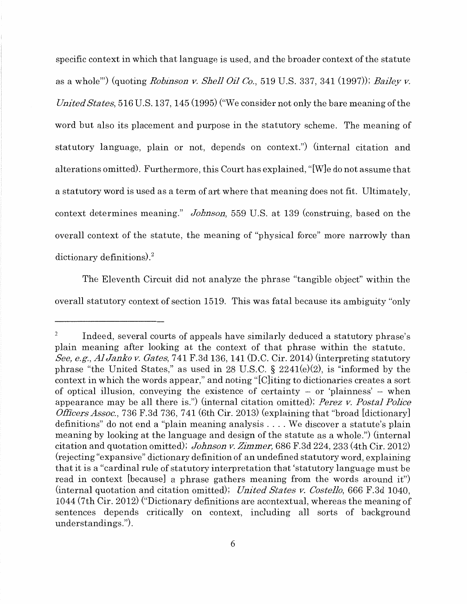specific context in which that language is used, and the broader context of the statute as a whole"') (quoting *Robinson v. Shell Oil Co.,* 519 U.S. 337, 341 (1997)); *Bailey v. United States,* 516 U.S. 137, 145 (1995) ("We consider not only the bare meaning of the word but also its placement and purpose in the statutory scheme. The meaning of statutory language, plain or not, depends on context.") (internal citation and alterations omitted). Furthermore, this Court has explained, "[W]e do not assume that a statutory word is used as a term of art where that meaning does not fit. Ultimately, context determines meaning." *Johnson,* 559 U.S. at 139 (construing, based on the overall context of the statute, the meaning of "physical force" more narrowly than dictionary definitions).<sup>2</sup>

The Eleventh Circuit did not analyze the phrase "tangible object" within the overall statutory context of section 1519. This was fatal because its ambiguity "only

Indeed, several courts of appeals have similarly deduced a statutory phrase's plain meaning after looking at the context of that phrase within the statute. *See, e.g., Al Janka v. Gates,* 7 41F.3d136, 141 (D.C. Cir. 2014) (interpreting statutory phrase "the United States," as used in 28 U.S.C.  $\S$  2241(e)(2), is "informed by the context in which the words appear," and noting "[C]iting to dictionaries creates a sort of optical illusion, conveying the existence of certainty  $-$  or 'plainness'  $-$  when appearance may be all there is.") (internal citation omitted); *Perez v. Postal Police Officers Assoc.*, 736 F.3d 736, 741 (6th Cir. 2013) (explaining that "broad [dictionary] definitions" do not end a "plain meaning analysis .... We discover a statute's plain meaning by looking at the language and design of the statute as a whole.") (internal citation and quotation omitted); *Johnson v. Zimmer,* 686 F.3d 224, 233 (4th Cir. 2012) (rejecting "expansive" dictionary definition of an undefined statutory word, explaining that it is a "cardinal rule of statutory interpretation that 'statutory language must be read in context [because] a phrase gathers meaning from the words around it") (internal quotation and citation omitted); *United States v. Costello,* 666 F.3d 1040, 1044 (7th Cir. 2012) ("Dictionary definitions are acontextual, whereas the meaning of sentences depends critically on context, including all sorts of background understandings.").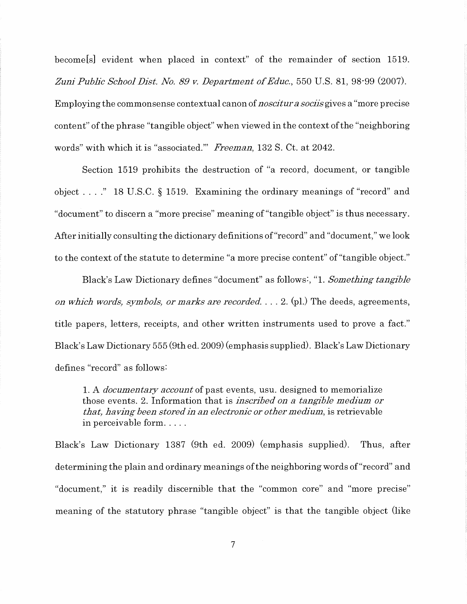become[s] evident when placed in context" of the remainder of section 1519. *Zuni Public School Dist. No. 89 v. Department of Educ.,* 550 U.S. 81, 98-99 (2007). Employing the commonsense contextual canon of *noscitur a sociisgives* a "more precise content" of the phrase "tangible object" when viewed in the context of the "neighboring words" with which it is "associated."' *Freeman,* 132 S. Ct. at 2042.

Section 1519 prohibits the destruction of "a record, document, or tangible object .... " 18 U.S.C. § 1519. Examining the ordinary meanings of "record" and "document" to discern a "more precise" meaning of "tangible object" is thus necessary. After initially consulting the dictionary definitions of "record" and "document," we look to the context of the statute to determine "a more precise content" of"tangible object."

Black's Law Dictionary defines "document" as follows:, "1. *Something tangible on which words, symbols, or marks are recorded* ... 2. (pl.) The deeds, agreements, title papers, letters, receipts, and other written instruments used to prove a fact." Black's Law Dictionary 555 (9th ed. 2009) (emphasis supplied). Black's Law Dictionary defines "record" as follows:

1. A *documentary account* of past events, usu. designed to memorialize those events. 2. Information that is *inscribed on a tangible medium or that, having been stored in an electronic or other medium, is retrievable* in perceivable form.....

Black's Law Dictionary 1387 (9th ed. 2009) (emphasis supplied). Thus, after determining the plain and ordinary meanings of the neighboring words of "record" and "document," it is readily discernible that the "common core" and "more precise" meaning of the statutory phrase "tangible object" is that the tangible object (like

7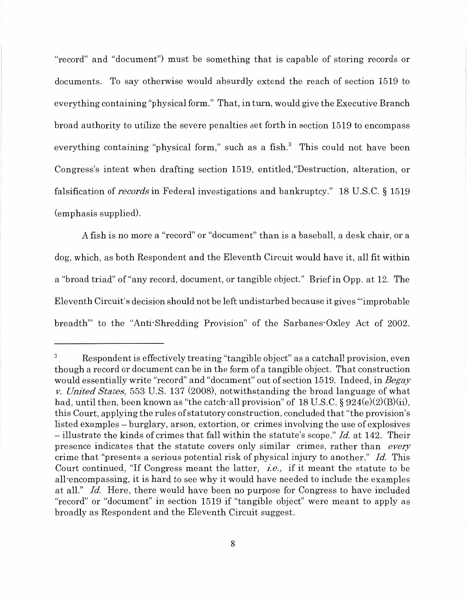"record" and "document") must be something that is capable of storing records or documents. To say otherwise would absurdly extend the reach of section 1519 to everything containing "physical form." That, in turn, would give the Executive Branch broad authority to utilize the severe penalties set forth in section 1519 to encompass everything containing "physical form," such as a fish.<sup>3</sup> This could not have been Congress's intent when drafting section 1519, entitled,"Destruction, alteration, or falsification of *Tecords* in Federal investigations and bankruptcy." 18 U.S.C. § 1519 (emphasis supplied).

A fish is no more a "record" or "document" than is a baseball, a desk chair, or a dog, which, as both Respondent and the Eleventh Circuit would have it, all fit within a "broad triad" of "any record, document, or tangible object." Brief in Opp. at 12. The Eleventh Circuit's decision should not be left undisturbed because it gives "'improbable breadth"' to the "Anti-Shredding Provision" of the Sarbanes-Oxley Act of 2002.

 $\mathsf 3$ Respondent is effectively treating "tangible object" as a catchall provision, even though a record or document can be in the form of a tangible object. That construction would essentially write "record" and "document" out of section 1519. Indeed, in *Begay v. United States,* 553 U.S. 137 (2008), notwithstanding the broad language of what had, until then, been known as "the catch-all provision" of  $18 \text{ U.S.C.}$  §  $924(e)(2)(B)(ii)$ , this Court, applying the rules of statutory construction, concluded that "the provision's listed examples - burglary, arson, extortion, or crimes involving the use of explosives - illustrate the kinds of crimes that fall within the statute's scope." *Id.* at 142. Their presence indicates that the statute covers only similar crimes, rather than *every*  crime that "presents a serious potential risk of physical injury to another." *Id.* This Court continued, "If Congress meant the latter, *i.e.}* if it meant the statute to be all-encompassing, it is hard to see why it would have needed to include the examples at all." *Id.* Here, there would have been no purpose for Congress to have included "record" or "document" in section 1519 if "tangible object" were meant to apply as broadly as Respondent and the Eleventh Circuit suggest.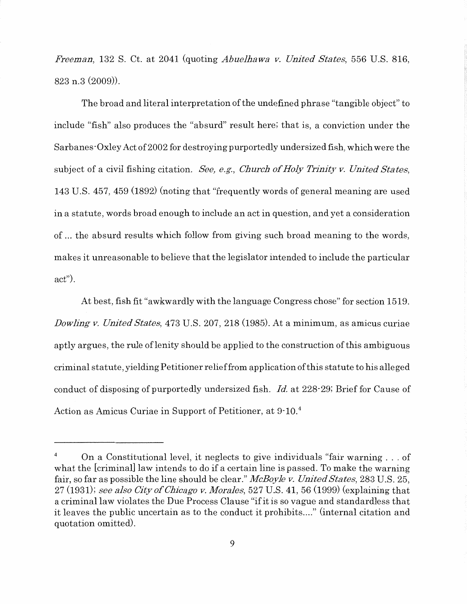*Freeman,* 132 S. Ct. at 2041 (quoting *Abuelhawa v. United States,* 556 U.S. 816, 823 n.3 (2009)).

The broad and literal interpretation of the undefined phrase "tangible object" to include "fish" also produces the "absurd" result here; that is, a conviction under the Sarbanes-Oxley Act of 2002 for destroying purportedly undersized fish, which were the subject of a civil fishing citation. *See, e.g., Church of Holy Trinity v. United States,*  143 U.S. 457, 459 (1892) (noting that "frequently words of general meaning are used in a statute, words broad enough to include an act in question, and yet a consideration of ... the absurd results which follow from giving such broad meaning to the words, makes it unreasonable to believe that the legislator intended to include the particular act").

At best, fish fit "awkwardly with the language Congress chose" for section 1519. *Dowling v. United States,* 473 U.S. 207, 218 (1985). At a minimum, as amicus curiae aptly argues, the rule of lenity should be applied to the construction of this ambiguous criminal statute, yielding Petitioner relief from application of this statute to his alleged conduct of disposing of purportedly undersized fish. *Id.* at 228-29; Brief for Cause of Action as Amicus Curiae in Support of Petitioner, at 9-10. <sup>4</sup>

On a Constitutional level, it neglects to give individuals "fair warning  $\dots$  of what the [criminal] law intends to do if a certain line is passed. To make the warning fair, so far as possible the line should be clear." *McBoyle v. United States,* 283 U.S. 25, 27 (1931); *see also City of Chicago v. Morales,* 527 U.S. 41, 56 (1999) (explaining that a criminal law violates the Due Process Clause "if it is so vague and standardless that it leaves the public uncertain as to the conduct it prohibits .... " (internal citation and quotation omitted).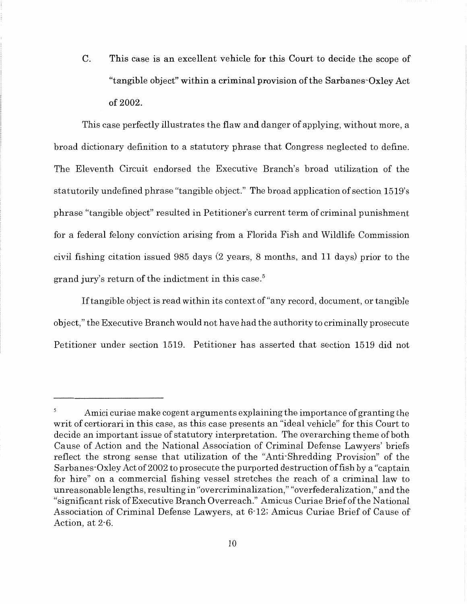C. This case is an excellent vehicle for this Court to decide the scope of "tangible object" within a criminal provision of the Sarbanes-Oxley Act of 2002.

This case perfectly illustrates the flaw and danger of applying, without more, a broad dictionary definition to a statutory phrase that Congress neglected to define. The Eleventh Circuit endorsed the Executive Branch's broad utilization of the statutorily undefined phrase "tangible object." The broad application of section 1519's phrase "tangible object" resulted in Petitioner's current term of criminal punishment for a federal felony conviction arising from a Florida Fish and Wildlife Commission civil fishing citation issued 985 days (2 years, 8 months, and 11 days) prior to the grand jury's return of the indictment in this case. <sup>5</sup>

If tangible object is read within its context of"any record, document, or tangible object," the Executive Branch would not have had the authority to criminally prosecute Petitioner under section 1519. Petitioner has asserted that section 1519 did not

Amici curiae make cogent arguments explaining the importance of granting the writ of certiorari in this case, as this case presents an "ideal vehicle" for this Court to decide an important issue of statutory interpretation. The overarching theme of both Cause of Action and the National Association of Criminal Defense Lawyers' briefs reflect the strong sense that utilization of the "Anti-Shredding Provision" of the Sarbanes-Oxley Act of 2002 to prosecute the purported destruction of fish by a "captain for hire" on a commercial fishing vessel stretches the reach of a criminal law to unreasonable lengths, resulting in "overcriminalization," "overfederalization," and the "significant risk of Executive Branch Overreach." Amicus Curiae Brief of the National Association of Criminal Defense Lawyers, at 6-12; Amicus Curiae Brief of Cause of Action, at 2-6.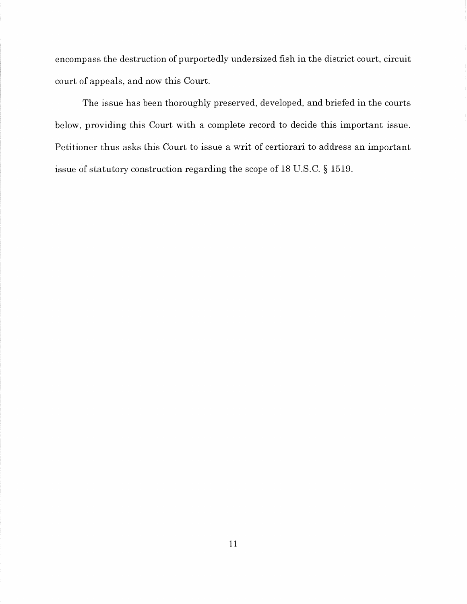encompass the destruction of purportedly undersized fish in the district court, circuit court of appeals, and now this Court.

The issue has been thoroughly preserved, developed, and briefed in the courts below, providing this Court with a complete record to decide this important issue. Petitioner thus asks this Court to issue a writ of certiorari to address an important issue of statutory construction regarding the scope of 18 U.S.C. § 1519.